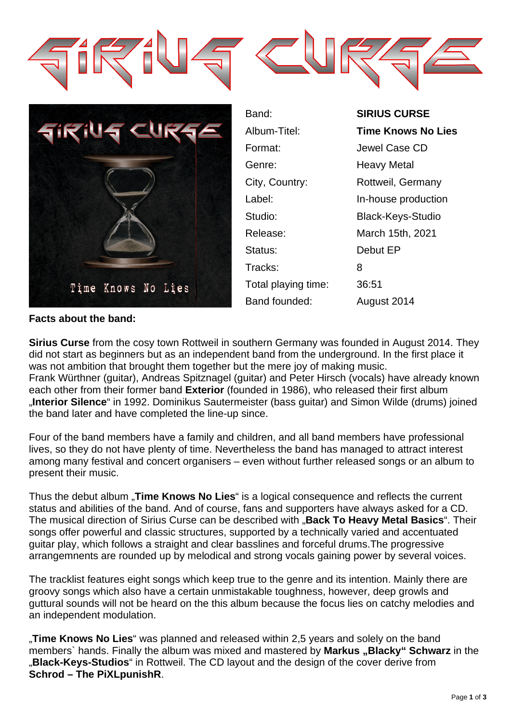



| Band:               | <b>SIRIUS CURSE</b>       |
|---------------------|---------------------------|
| Album-Titel:        | <b>Time Knows No Lies</b> |
| Format:             | Jewel Case CD             |
| Genre:              | <b>Heavy Metal</b>        |
| City, Country:      | Rottweil, Germany         |
| Label:              | In-house production       |
| Studio:             | <b>Black-Keys-Studio</b>  |
| Release:            | March 15th, 2021          |
| Status:             | Debut EP                  |
| Tracks:             | 8                         |
| Total playing time: | 36:51                     |
| Band founded:       | August 2014               |

# **Facts about the band:**

**Sirius Curse** from the cosy town Rottweil in southern Germany was founded in August 2014. They did not start as beginners but as an independent band from the underground. In the first place it was not ambition that brought them together but the mere joy of making music. Frank Würthner (guitar), Andreas Spitznagel (guitar) and Peter Hirsch (vocals) have already known each other from their former band **Exterior** (founded in 1986), who released their first album "**Interior Silence**" in 1992. Dominikus Sautermeister (bass guitar) and Simon Wilde (drums) joined the band later and have completed the line-up since.

Four of the band members have a family and children, and all band members have professional lives, so they do not have plenty of time. Nevertheless the band has managed to attract interest among many festival and concert organisers – even without further released songs or an album to present their music.

Thus the debut album **"Time Knows No Lies**" is a logical consequence and reflects the current status and abilities of the band. And of course, fans and supporters have always asked for a CD. The musical direction of Sirius Curse can be described with "**Back To Heavy Metal Basics**". Their songs offer powerful and classic structures, supported by a technically varied and accentuated guitar play, which follows a straight and clear basslines and forceful drums.The progressive arrangemnents are rounded up by melodical and strong vocals gaining power by several voices.

The tracklist features eight songs which keep true to the genre and its intention. Mainly there are groovy songs which also have a certain unmistakable toughness, however, deep growls and guttural sounds will not be heard on the this album because the focus lies on catchy melodies and an independent modulation.

"**Time Knows No Lies**" was planned and released within 2,5 years and solely on the band members` hands. Finally the album was mixed and mastered by **Markus** "Blacky" Schwarz in the "**Black-Keys-Studios**" in Rottweil. The CD layout and the design of the cover derive from **Schrod – The PiXLpunishR**.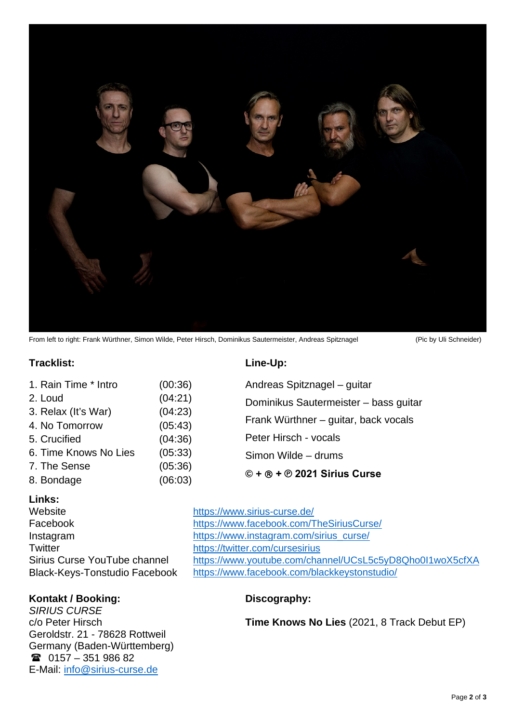

From left to right: Frank Würthner, Simon Wilde, Peter Hirsch, Dominikus Sautermeister, Andreas Spitznagel (Pic by Uli Schneider)

### $\textsf{Tracklist:}$

|  | Line-Up: |  |
|--|----------|--|

| 1. Rain Time * Intro  | (00:36) | Andreas Spitznagel - guitar                          |  |
|-----------------------|---------|------------------------------------------------------|--|
| 2. Loud               | (04:21) | Dominikus Sautermeister - bass guitar                |  |
| 3. Relax (It's War)   | (04:23) |                                                      |  |
| 4. No Tomorrow        | (05:43) | Frank Würthner – guitar, back vocals                 |  |
| 5. Crucified          | (04:36) | Peter Hirsch - vocals                                |  |
| 6. Time Knows No Lies | (05:33) | Simon Wilde – drums<br>$@ + @ + @ 2021$ Sirius Curse |  |
| 7. The Sense          | (05:36) |                                                      |  |
| 8. Bondage            | (06:03) |                                                      |  |

### **Links:**

Website <https://www.sirius-curse.de/> Twitter **<https://twitter.com/cursesirius>** 

## **Kontakt / Booking: Discography:**

*SIRIUS CURSE* c/o Peter Hirsch Geroldstr. 21 - 78628 Rottweil Germany (Baden-Württemberg)  $\textcircled{2}$  0157 – 351 986 82 E-Mail: [info@sirius-curse.de](mailto:info@sirius-curse.de)

Facebook <https://www.facebook.com/TheSiriusCurse/> Instagram [https://www.instagram.com/sirius\\_curse/](https://www.instagram.com/sirius_curse/) Sirius Curse YouTube channel <https://www.youtube.com/channel/UCsL5c5yD8Qho0I1woX5cfXA> Black-Keys-Tonstudio Facebook <https://www.facebook.com/blackkeystonstudio/>

**Time Knows No Lies** (2021, 8 Track Debut EP)